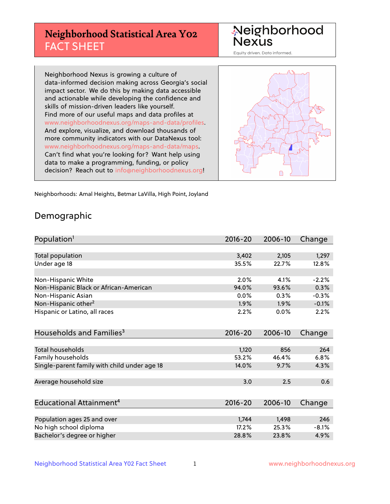# **Neighborhood Statistical Area Y02** FACT SHEET

Neighborhood Nexus

Equity driven. Data informed.

Neighborhood Nexus is growing a culture of data-informed decision making across Georgia's social impact sector. We do this by making data accessible and actionable while developing the confidence and skills of mission-driven leaders like yourself. Find more of our useful maps and data profiles at www.neighborhoodnexus.org/maps-and-data/profiles. And explore, visualize, and download thousands of more community indicators with our DataNexus tool: www.neighborhoodnexus.org/maps-and-data/maps. Can't find what you're looking for? Want help using data to make a programming, funding, or policy decision? Reach out to [info@neighborhoodnexus.org!](mailto:info@neighborhoodnexus.org)



Neighborhoods: Amal Heights, Betmar LaVilla, High Point, Joyland

### Demographic

| Population <sup>1</sup>                      | $2016 - 20$ | 2006-10 | Change  |
|----------------------------------------------|-------------|---------|---------|
|                                              |             |         |         |
| Total population                             | 3,402       | 2,105   | 1,297   |
| Under age 18                                 | 35.5%       | 22.7%   | 12.8%   |
|                                              |             |         |         |
| Non-Hispanic White                           | 2.0%        | 4.1%    | $-2.2%$ |
| Non-Hispanic Black or African-American       | 94.0%       | 93.6%   | 0.3%    |
| Non-Hispanic Asian                           | 0.0%        | 0.3%    | $-0.3%$ |
| Non-Hispanic other <sup>2</sup>              | 1.9%        | 1.9%    | $-0.1%$ |
| Hispanic or Latino, all races                | 2.2%        | 0.0%    | 2.2%    |
|                                              |             |         |         |
| Households and Families <sup>3</sup>         | $2016 - 20$ | 2006-10 | Change  |
|                                              |             |         |         |
| <b>Total households</b>                      | 1,120       | 856     | 264     |
| Family households                            | 53.2%       | 46.4%   | 6.8%    |
| Single-parent family with child under age 18 | 14.0%       | 9.7%    | 4.3%    |
|                                              |             |         |         |
| Average household size                       | 3.0         | 2.5     | 0.6     |
|                                              |             |         |         |
| Educational Attainment <sup>4</sup>          | $2016 - 20$ | 2006-10 | Change  |
|                                              |             |         |         |
| Population ages 25 and over                  | 1,744       | 1,498   | 246     |
| No high school diploma                       | 17.2%       | 25.3%   | $-8.1%$ |
| Bachelor's degree or higher                  | 28.8%       | 23.8%   | 4.9%    |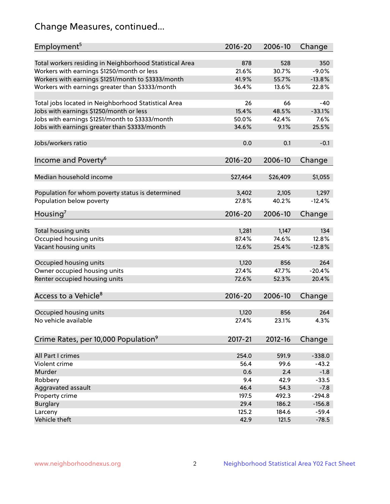# Change Measures, continued...

| Employment <sup>5</sup>                                 | $2016 - 20$  | 2006-10        | Change            |
|---------------------------------------------------------|--------------|----------------|-------------------|
|                                                         |              |                |                   |
| Total workers residing in Neighborhood Statistical Area | 878<br>21.6% | 528<br>30.7%   | 350<br>$-9.0%$    |
| Workers with earnings \$1250/month or less              | 41.9%        | 55.7%          | $-13.8%$          |
| Workers with earnings \$1251/month to \$3333/month      | 36.4%        | 13.6%          | 22.8%             |
| Workers with earnings greater than \$3333/month         |              |                |                   |
| Total jobs located in Neighborhood Statistical Area     | 26           | 66             | -40               |
| Jobs with earnings \$1250/month or less                 | 15.4%        | 48.5%          | $-33.1%$          |
| Jobs with earnings \$1251/month to \$3333/month         | 50.0%        | 42.4%          | 7.6%              |
| Jobs with earnings greater than \$3333/month            | 34.6%        | 9.1%           | 25.5%             |
|                                                         |              |                |                   |
| Jobs/workers ratio                                      | 0.0          | 0.1            | $-0.1$            |
|                                                         |              |                |                   |
| Income and Poverty <sup>6</sup>                         | 2016-20      | 2006-10        | Change            |
|                                                         |              |                |                   |
| Median household income                                 | \$27,464     | \$26,409       | \$1,055           |
|                                                         | 3,402        |                |                   |
| Population for whom poverty status is determined        | 27.8%        | 2,105<br>40.2% | 1,297<br>$-12.4%$ |
| Population below poverty                                |              |                |                   |
| Housing'                                                | 2016-20      | 2006-10        | Change            |
|                                                         |              |                |                   |
| Total housing units                                     | 1,281        | 1,147          | 134               |
| Occupied housing units                                  | 87.4%        | 74.6%          | 12.8%             |
| Vacant housing units                                    | 12.6%        | 25.4%          | $-12.8%$          |
|                                                         |              |                |                   |
| Occupied housing units                                  | 1,120        | 856            | 264               |
| Owner occupied housing units                            | 27.4%        | 47.7%          | $-20.4%$          |
| Renter occupied housing units                           | 72.6%        | 52.3%          | 20.4%             |
|                                                         |              |                |                   |
| Access to a Vehicle <sup>8</sup>                        | $2016 - 20$  | 2006-10        | Change            |
|                                                         | 1,120        | 856            | 264               |
| Occupied housing units<br>No vehicle available          | 27.4%        | 23.1%          | 4.3%              |
|                                                         |              |                |                   |
| Crime Rates, per 10,000 Population <sup>9</sup>         | 2017-21      | 2012-16        | Change            |
|                                                         |              |                |                   |
| All Part I crimes                                       | 254.0        | 591.9          | $-338.0$          |
| Violent crime                                           | 56.4         | 99.6           | $-43.2$           |
| Murder                                                  | 0.6          | 2.4            | $-1.8$            |
| Robbery                                                 | 9.4          | 42.9           | $-33.5$           |
| Aggravated assault                                      | 46.4         | 54.3           | $-7.8$            |
| Property crime                                          | 197.5        | 492.3          | $-294.8$          |
| <b>Burglary</b>                                         | 29.4         | 186.2          | $-156.8$          |
| Larceny                                                 | 125.2        | 184.6          | $-59.4$           |
| Vehicle theft                                           | 42.9         | 121.5          | $-78.5$           |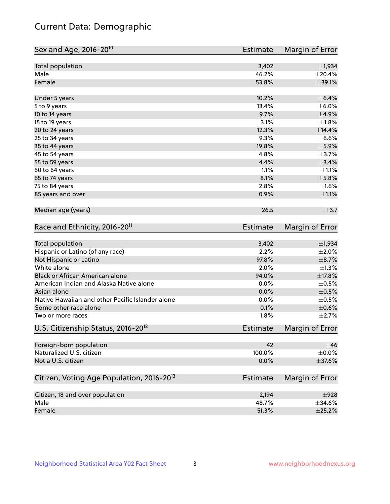# Current Data: Demographic

| Sex and Age, 2016-20 <sup>10</sup>                    | Estimate        | Margin of Error |
|-------------------------------------------------------|-----------------|-----------------|
| Total population                                      | 3,402           | ±1,934          |
| Male                                                  | 46.2%           | ±20.4%          |
| Female                                                | 53.8%           | ±39.1%          |
| Under 5 years                                         | 10.2%           | $\pm$ 6.4%      |
| 5 to 9 years                                          | 13.4%           | $\pm$ 6.0%      |
| 10 to 14 years                                        | 9.7%            | $\pm$ 4.9%      |
| 15 to 19 years                                        | 3.1%            | ±1.8%           |
| 20 to 24 years                                        | 12.3%           | $\pm$ 14.4%     |
| 25 to 34 years                                        | 9.3%            | $\pm$ 6.6%      |
| 35 to 44 years                                        | 19.8%           | $\pm$ 5.9%      |
| 45 to 54 years                                        | 4.8%            | $\pm$ 3.7%      |
| 55 to 59 years                                        | 4.4%            | $\pm$ 3.4%      |
| 60 to 64 years                                        | 1.1%            | $\pm 1.1\%$     |
| 65 to 74 years                                        | 8.1%            | $\pm$ 5.8%      |
| 75 to 84 years                                        | 2.8%            | ±1.6%           |
| 85 years and over                                     | 0.9%            | $\pm 1.1\%$     |
| Median age (years)                                    | 26.5            | $\pm$ 3.7       |
| Race and Ethnicity, 2016-20 <sup>11</sup>             | <b>Estimate</b> | Margin of Error |
| Total population                                      | 3,402           | $\pm$ 1,934     |
| Hispanic or Latino (of any race)                      | 2.2%            | $\pm 2.0\%$     |
| Not Hispanic or Latino                                | 97.8%           | $\pm$ 8.7%      |
| White alone                                           | 2.0%            | $\pm 1.3\%$     |
| Black or African American alone                       | 94.0%           | $\pm$ 17.8%     |
| American Indian and Alaska Native alone               | 0.0%            | $\pm$ 0.5%      |
| Asian alone                                           | 0.0%            | $\pm$ 0.5%      |
| Native Hawaiian and other Pacific Islander alone      | 0.0%            | $\pm$ 0.5%      |
| Some other race alone                                 | 0.1%            | $\pm$ 0.6%      |
| Two or more races                                     | 1.8%            | $\pm 2.7\%$     |
| U.S. Citizenship Status, 2016-20 <sup>12</sup>        | <b>Estimate</b> | Margin of Error |
| Foreign-born population                               | 42              | $\pm$ 46        |
| Naturalized U.S. citizen                              | 100.0%          | $\pm 0.0\%$     |
| Not a U.S. citizen                                    | 0.0%            | $\pm$ 37.6%     |
| Citizen, Voting Age Population, 2016-20 <sup>13</sup> | Estimate        | Margin of Error |
| Citizen, 18 and over population                       | 2,194           | $\pm$ 928       |
| Male                                                  | 48.7%           | $\pm$ 34.6%     |
| Female                                                | 51.3%           | $\pm 25.2\%$    |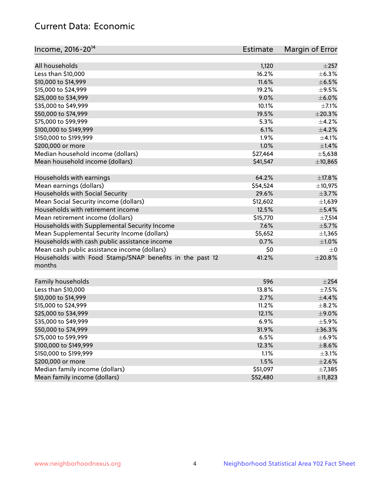# Current Data: Economic

| Income, 2016-20 <sup>14</sup>                           | Estimate | Margin of Error |
|---------------------------------------------------------|----------|-----------------|
|                                                         |          |                 |
| All households                                          | 1,120    | $\pm 257$       |
| Less than \$10,000                                      | 16.2%    | $\pm$ 6.3%      |
| \$10,000 to \$14,999                                    | 11.6%    | $\pm$ 6.5%      |
| \$15,000 to \$24,999                                    | 19.2%    | $\pm$ 9.5%      |
| \$25,000 to \$34,999                                    | 9.0%     | $\pm$ 6.0%      |
| \$35,000 to \$49,999                                    | 10.1%    | $\pm$ 7.1%      |
| \$50,000 to \$74,999                                    | 19.5%    | $\pm 20.3\%$    |
| \$75,000 to \$99,999                                    | 5.3%     | $\pm$ 4.2%      |
| \$100,000 to \$149,999                                  | 6.1%     | $\pm$ 4.2%      |
| \$150,000 to \$199,999                                  | 1.9%     | $\pm 4.1\%$     |
| \$200,000 or more                                       | 1.0%     | $\pm$ 1.4%      |
| Median household income (dollars)                       | \$27,464 | $\pm$ 5,638     |
| Mean household income (dollars)                         | \$41,547 | ±10,865         |
| Households with earnings                                | 64.2%    | $\pm$ 17.8%     |
| Mean earnings (dollars)                                 | \$54,524 | ±10,975         |
| Households with Social Security                         | 29.6%    | $\pm$ 3.7%      |
| Mean Social Security income (dollars)                   | \$12,602 | $\pm$ 1,639     |
| Households with retirement income                       | 12.5%    | ±5.4%           |
| Mean retirement income (dollars)                        | \$15,770 | $\pm$ 7,514     |
| Households with Supplemental Security Income            | 7.6%     | $\pm$ 5.7%      |
| Mean Supplemental Security Income (dollars)             | \$5,652  | $\pm$ 1,365     |
| Households with cash public assistance income           | 0.7%     | $\pm1.0\%$      |
| Mean cash public assistance income (dollars)            | \$0      | $\pm 0$         |
| Households with Food Stamp/SNAP benefits in the past 12 | 41.2%    | ±20.8%          |
| months                                                  |          |                 |
| Family households                                       | 596      | $\pm 254$       |
| Less than \$10,000                                      | 13.8%    | $\pm$ 7.5%      |
| \$10,000 to \$14,999                                    | 2.7%     | $\pm$ 4.4%      |
| \$15,000 to \$24,999                                    | 11.2%    | $\pm$ 8.2%      |
| \$25,000 to \$34,999                                    | 12.1%    | $\pm$ 9.0%      |
| \$35,000 to \$49,999                                    | 6.9%     | $\pm$ 5.9%      |
| \$50,000 to \$74,999                                    | 31.9%    | $\pm$ 36.3%     |
| \$75,000 to \$99,999                                    | 6.5%     | $\pm$ 6.9%      |
| \$100,000 to \$149,999                                  | 12.3%    | $\pm$ 8.6%      |
| \$150,000 to \$199,999                                  | 1.1%     | $\pm$ 3.1%      |
| \$200,000 or more                                       | 1.5%     | $\pm 2.6\%$     |
| Median family income (dollars)                          | \$51,097 | ±7,385          |
| Mean family income (dollars)                            | \$52,480 | ±11,823         |
|                                                         |          |                 |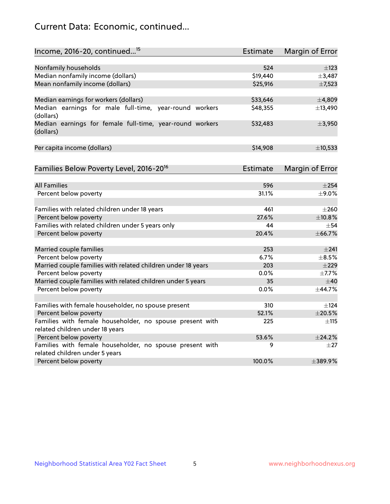# Current Data: Economic, continued...

| Income, 2016-20, continued <sup>15</sup>                                                   | <b>Estimate</b> | Margin of Error        |
|--------------------------------------------------------------------------------------------|-----------------|------------------------|
|                                                                                            |                 |                        |
| Nonfamily households                                                                       | 524<br>\$19,440 | $\pm$ 123<br>±3,487    |
| Median nonfamily income (dollars)                                                          |                 |                        |
| Mean nonfamily income (dollars)                                                            | \$25,916        | $\pm$ 7,523            |
| Median earnings for workers (dollars)                                                      | \$33,646        | ±4,809                 |
| Median earnings for male full-time, year-round workers<br>(dollars)                        | \$48,355        | ±13,490                |
| Median earnings for female full-time, year-round workers<br>(dollars)                      | \$32,483        | ±3,950                 |
| Per capita income (dollars)                                                                | \$14,908        | ±10,533                |
| Families Below Poverty Level, 2016-20 <sup>16</sup>                                        | <b>Estimate</b> | <b>Margin of Error</b> |
|                                                                                            |                 |                        |
| <b>All Families</b>                                                                        | 596             | $\pm 254$              |
| Percent below poverty                                                                      | 31.1%           | $\pm$ 9.0%             |
| Families with related children under 18 years                                              | 461             | $\pm 260$              |
| Percent below poverty                                                                      | 27.6%           | ±10.8%                 |
| Families with related children under 5 years only                                          | 44              | $+54$                  |
| Percent below poverty                                                                      | 20.4%           | ±66.7%                 |
| Married couple families                                                                    | 253             | ±241                   |
| Percent below poverty                                                                      | 6.7%            | $\pm$ 8.5%             |
| Married couple families with related children under 18 years                               | 203             | $\pm 229$              |
| Percent below poverty                                                                      | 0.0%            | ±7.7%                  |
| Married couple families with related children under 5 years                                | 35              | ±40                    |
| Percent below poverty                                                                      | 0.0%            | ±44.7%                 |
|                                                                                            |                 |                        |
| Families with female householder, no spouse present                                        | 310             | $\pm$ 124              |
| Percent below poverty                                                                      | 52.1%           | ±20.5%                 |
| Families with female householder, no spouse present with                                   | 225             | $\pm$ 115              |
| related children under 18 years                                                            |                 |                        |
| Percent below poverty                                                                      | 53.6%           | $+24.2%$               |
| Families with female householder, no spouse present with<br>related children under 5 years | 9               | $\pm 27$               |
| Percent below poverty                                                                      | 100.0%          | ±389.9%                |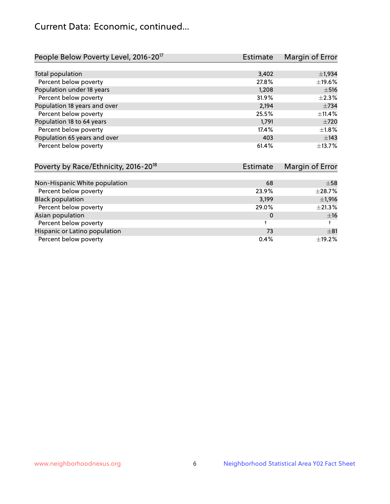# Current Data: Economic, continued...

| People Below Poverty Level, 2016-20 <sup>17</sup> | <b>Estimate</b> | Margin of Error |
|---------------------------------------------------|-----------------|-----------------|
|                                                   |                 |                 |
| Total population                                  | 3,402           | $\pm$ 1,934     |
| Percent below poverty                             | 27.8%           | $\pm$ 19.6%     |
| Population under 18 years                         | 1,208           | $\pm$ 516       |
| Percent below poverty                             | 31.9%           | $\pm 2.3\%$     |
| Population 18 years and over                      | 2,194           | $\pm 734$       |
| Percent below poverty                             | 25.5%           | $+11.4%$        |
| Population 18 to 64 years                         | 1,791           | $\pm 720$       |
| Percent below poverty                             | 17.4%           | $\pm 1.8\%$     |
| Population 65 years and over                      | 403             | $\pm$ 143       |
| Percent below poverty                             | 61.4%           | ±13.7%          |

| Poverty by Race/Ethnicity, 2016-20 <sup>18</sup> | <b>Estimate</b> | Margin of Error |
|--------------------------------------------------|-----------------|-----------------|
|                                                  |                 |                 |
| Non-Hispanic White population                    | 68              | $\pm$ 58        |
| Percent below poverty                            | 23.9%           | $\pm 28.7\%$    |
| <b>Black population</b>                          | 3,199           | $\pm$ 1,916     |
| Percent below poverty                            | 29.0%           | $\pm 21.3\%$    |
| Asian population                                 | 0               | ±16             |
| Percent below poverty                            |                 |                 |
| Hispanic or Latino population                    | 73              | $\pm$ 81        |
| Percent below poverty                            | 0.4%            | $\pm$ 19.2%     |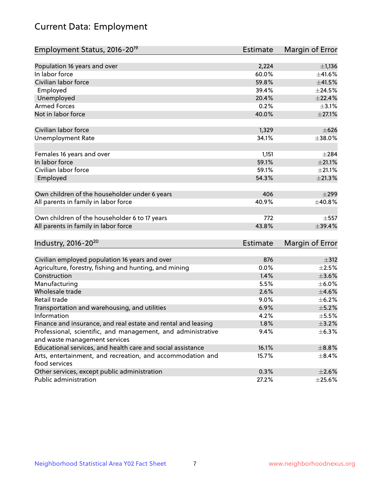# Current Data: Employment

| Employment Status, 2016-20 <sup>19</sup>                                    | <b>Estimate</b> | Margin of Error  |
|-----------------------------------------------------------------------------|-----------------|------------------|
|                                                                             |                 |                  |
| Population 16 years and over                                                | 2,224           | $\pm$ 1,136      |
| In labor force                                                              | 60.0%           | ±41.6%           |
| Civilian labor force                                                        | 59.8%           | $\pm$ 41.5%      |
| Employed                                                                    | 39.4%           | $\pm$ 24.5%      |
| Unemployed                                                                  | 20.4%           | ±22.4%           |
| <b>Armed Forces</b>                                                         | 0.2%            | $\pm$ 3.1%       |
| Not in labor force                                                          | 40.0%           | $\pm$ 27.1%      |
| Civilian labor force                                                        | 1,329           | $\pm 626$        |
| <b>Unemployment Rate</b>                                                    | 34.1%           | ±38.0%           |
| Females 16 years and over                                                   | 1,151           | $\pm 284$        |
| In labor force                                                              | 59.1%           | $\pm 21.1\%$     |
| Civilian labor force                                                        | 59.1%           | $\pm 21.1\%$     |
| Employed                                                                    | 54.3%           | $\pm 21.3\%$     |
|                                                                             |                 |                  |
| Own children of the householder under 6 years                               | 406             | $\pm$ 299        |
| All parents in family in labor force                                        | 40.9%           | ±40.8%           |
|                                                                             |                 |                  |
| Own children of the householder 6 to 17 years                               | 772             | $\pm$ 557        |
| All parents in family in labor force                                        | 43.8%           | ±39.4%           |
|                                                                             |                 |                  |
| Industry, 2016-20 <sup>20</sup>                                             | Estimate        | Margin of Error  |
|                                                                             |                 |                  |
| Civilian employed population 16 years and over                              | 876             | $\pm$ 312        |
| Agriculture, forestry, fishing and hunting, and mining                      | 0.0%            | $\pm 2.5\%$      |
| Construction                                                                | 1.4%            | $\pm 3.6\%$      |
| Manufacturing                                                               | 5.5%            | $\pm$ 6.0%       |
| Wholesale trade                                                             | 2.6%            | $\pm 4.6\%$      |
| Retail trade                                                                | 9.0%            | $\pm$ 6.2%       |
| Transportation and warehousing, and utilities                               | 6.9%            | $\pm$ 5.2%       |
| Information                                                                 | 4.2%            | $\pm$ 5.5 $\!\%$ |
| Finance and insurance, and real estate and rental and leasing               | 1.8%            | $\pm$ 3.2%       |
| Professional, scientific, and management, and administrative                | 9.4%            | ±6.3%            |
| and waste management services                                               |                 |                  |
| Educational services, and health care and social assistance                 | 16.1%           | $\pm$ 8.8%       |
| Arts, entertainment, and recreation, and accommodation and<br>food services | 15.7%           | $\pm$ 8.4%       |
| Other services, except public administration                                | 0.3%            | $\pm 2.6\%$      |
| Public administration                                                       | 27.2%           | $\pm 25.6\%$     |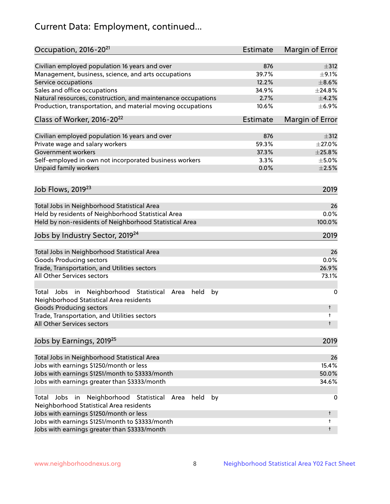# Current Data: Employment, continued...

| Occupation, 2016-20 <sup>21</sup>                                                                       | Estimate | Margin of Error |
|---------------------------------------------------------------------------------------------------------|----------|-----------------|
| Civilian employed population 16 years and over                                                          | 876      | $\pm$ 312       |
| Management, business, science, and arts occupations                                                     | 39.7%    | $\pm$ 9.1%      |
| Service occupations                                                                                     | 12.2%    | $\pm$ 8.6%      |
| Sales and office occupations                                                                            | 34.9%    | ±24.8%          |
| Natural resources, construction, and maintenance occupations                                            | 2.7%     | $\pm$ 4.2%      |
| Production, transportation, and material moving occupations                                             | 10.6%    | $\pm$ 6.9%      |
| Class of Worker, 2016-20 <sup>22</sup>                                                                  | Estimate | Margin of Error |
| Civilian employed population 16 years and over                                                          | 876      | $\pm$ 312       |
| Private wage and salary workers                                                                         | 59.3%    | $\pm 27.0\%$    |
| Government workers                                                                                      | 37.3%    | $\pm 25.8\%$    |
| Self-employed in own not incorporated business workers                                                  | 3.3%     | $\pm$ 5.0%      |
| Unpaid family workers                                                                                   | 0.0%     | $\pm 2.5\%$     |
|                                                                                                         |          |                 |
| Job Flows, 2019 <sup>23</sup>                                                                           |          | 2019            |
| Total Jobs in Neighborhood Statistical Area                                                             |          | 26              |
| Held by residents of Neighborhood Statistical Area                                                      |          | 0.0%            |
| Held by non-residents of Neighborhood Statistical Area                                                  |          | 100.0%          |
| Jobs by Industry Sector, 2019 <sup>24</sup>                                                             |          | 2019            |
| Total Jobs in Neighborhood Statistical Area                                                             |          | 26              |
| <b>Goods Producing sectors</b>                                                                          |          | 0.0%            |
| Trade, Transportation, and Utilities sectors                                                            |          | 26.9%           |
| All Other Services sectors                                                                              |          | 73.1%           |
| Total Jobs in Neighborhood Statistical<br>held<br>by<br>Area<br>Neighborhood Statistical Area residents |          | 0               |
| <b>Goods Producing sectors</b>                                                                          |          | t               |
| Trade, Transportation, and Utilities sectors<br>All Other Services sectors                              |          | t<br>t          |
|                                                                                                         |          |                 |
| Jobs by Earnings, 2019 <sup>25</sup>                                                                    |          | 2019            |
| Total Jobs in Neighborhood Statistical Area                                                             |          | 26              |
| Jobs with earnings \$1250/month or less                                                                 |          | 15.4%           |
| Jobs with earnings \$1251/month to \$3333/month                                                         |          | 50.0%           |
| Jobs with earnings greater than \$3333/month                                                            |          | 34.6%           |
| Neighborhood Statistical<br>Jobs<br>in<br>Area<br>held<br>by<br>Total                                   |          | 0               |
| Neighborhood Statistical Area residents                                                                 |          |                 |
| Jobs with earnings \$1250/month or less                                                                 |          | t               |
| Jobs with earnings \$1251/month to \$3333/month                                                         |          | t               |
| Jobs with earnings greater than \$3333/month                                                            |          | t               |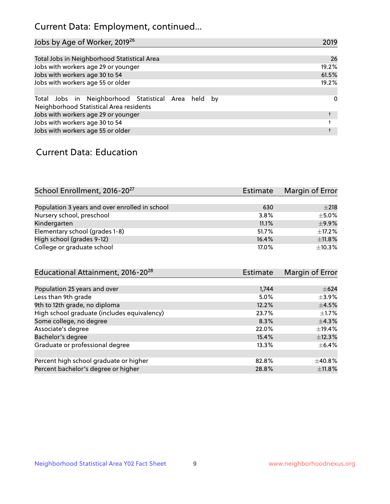# Current Data: Employment, continued...

| Jobs by Age of Worker, 2019 <sup>26</sup>                                                      | 2019  |
|------------------------------------------------------------------------------------------------|-------|
|                                                                                                |       |
| Total Jobs in Neighborhood Statistical Area                                                    | 26    |
| Jobs with workers age 29 or younger                                                            | 19.2% |
| Jobs with workers age 30 to 54                                                                 | 61.5% |
| Jobs with workers age 55 or older                                                              | 19.2% |
|                                                                                                |       |
| Total Jobs in Neighborhood Statistical Area held by<br>Neighborhood Statistical Area residents | 0     |
| Jobs with workers age 29 or younger                                                            |       |
| Jobs with workers age 30 to 54                                                                 |       |
| Jobs with workers age 55 or older                                                              |       |

### Current Data: Education

| School Enrollment, 2016-20 <sup>27</sup>       | Estimate | Margin of Error |
|------------------------------------------------|----------|-----------------|
|                                                |          |                 |
| Population 3 years and over enrolled in school | 630      | $\pm 218$       |
| Nursery school, preschool                      | 3.8%     | $\pm$ 5.0%      |
| Kindergarten                                   | 11.1%    | $\pm$ 9.9%      |
| Elementary school (grades 1-8)                 | 51.7%    | $+17.2%$        |
| High school (grades 9-12)                      | 16.4%    | ±11.8%          |
| College or graduate school                     | 17.0%    | ±10.3%          |

| <b>Estimate</b> | Margin of Error |
|-----------------|-----------------|
|                 |                 |
| 1,744           | $\pm 624$       |
| 5.0%            | $\pm$ 3.9%      |
| 12.2%           | $\pm$ 4.5%      |
| 23.7%           | $\pm 1.7\%$     |
| 8.3%            | $\pm$ 4.3%      |
| 22.0%           | $\pm$ 19.4%     |
| 15.4%           | ±12.3%          |
| 13.3%           | $\pm$ 6.4%      |
|                 |                 |
| 82.8%           | $+40.8%$        |
| 28.8%           | $\pm$ 11.8%     |
|                 |                 |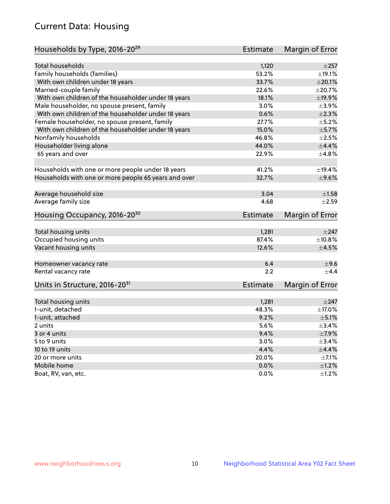# Current Data: Housing

| Households by Type, 2016-20 <sup>29</sup>            | <b>Estimate</b> | Margin of Error |
|------------------------------------------------------|-----------------|-----------------|
|                                                      |                 |                 |
| Total households                                     | 1,120           | $\pm 257$       |
| Family households (families)                         | 53.2%           | ±19.1%          |
| With own children under 18 years                     | 33.7%           | $\pm 20.1\%$    |
| Married-couple family                                | 22.6%           | ±20.7%          |
| With own children of the householder under 18 years  | 18.1%           | ±19.9%          |
| Male householder, no spouse present, family          | 3.0%            | $\pm$ 3.9%      |
| With own children of the householder under 18 years  | 0.6%            | $\pm 2.3\%$     |
| Female householder, no spouse present, family        | 27.7%           | $\pm$ 5.2%      |
| With own children of the householder under 18 years  | 15.0%           | $\pm$ 5.7%      |
| Nonfamily households                                 | 46.8%           | $\pm 2.5\%$     |
| Householder living alone                             | 44.0%           | $\pm$ 4.4%      |
| 65 years and over                                    | 22.9%           | ±4.8%           |
|                                                      |                 |                 |
| Households with one or more people under 18 years    | 41.2%           | ±19.4%          |
| Households with one or more people 65 years and over | 32.7%           | $\pm$ 9.6%      |
|                                                      |                 |                 |
| Average household size                               | 3.04            | ±1.58           |
| Average family size                                  | 4.68            | $\pm 2.59$      |
| Housing Occupancy, 2016-20 <sup>30</sup>             | <b>Estimate</b> | Margin of Error |
| Total housing units                                  | 1,281           | $\pm 247$       |
| Occupied housing units                               | 87.4%           | $\pm$ 10.8%     |
| Vacant housing units                                 | 12.6%           | $\pm 4.5\%$     |
|                                                      |                 |                 |
| Homeowner vacancy rate                               | 6.4             | ±9.6            |
| Rental vacancy rate                                  | 2.2             | $+4.4$          |
| Units in Structure, 2016-20 <sup>31</sup>            | Estimate        | Margin of Error |
|                                                      |                 |                 |
| Total housing units                                  | 1,281           | $\pm$ 247       |
| 1-unit, detached                                     | 48.3%           | ±17.0%          |
| 1-unit, attached                                     | 9.2%            | $\pm$ 5.1%      |
| 2 units                                              | 5.6%            | ±3.4%           |
| 3 or 4 units                                         | 9.4%            | $\pm$ 7.9%      |
| 5 to 9 units                                         | 3.0%            | $\pm$ 3.4%      |
| 10 to 19 units                                       | 4.4%            | $\pm$ 4.4%      |
| 20 or more units                                     | 20.0%           | $\pm$ 7.1%      |
| Mobile home                                          | 0.0%            | $\pm 1.2\%$     |
| Boat, RV, van, etc.                                  | $0.0\%$         | $\pm$ 1.2%      |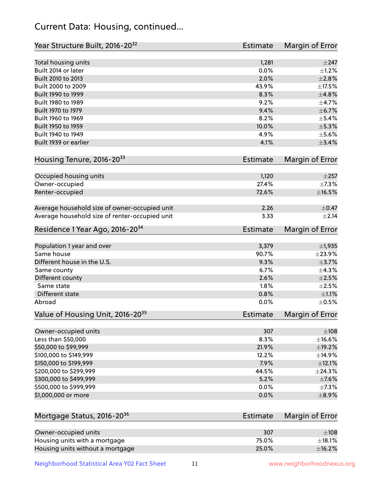# Current Data: Housing, continued...

| Year Structure Built, 2016-20 <sup>32</sup>    | <b>Estimate</b> | Margin of Error |
|------------------------------------------------|-----------------|-----------------|
| Total housing units                            | 1,281           | $\pm$ 247       |
| Built 2014 or later                            | 0.0%            | $\pm 1.2\%$     |
| Built 2010 to 2013                             | 2.0%            | $\pm 2.8\%$     |
| Built 2000 to 2009                             | 43.9%           | $\pm$ 17.5%     |
| Built 1990 to 1999                             | 8.3%            | ±4.8%           |
| Built 1980 to 1989                             | 9.2%            | $\pm$ 4.7%      |
| Built 1970 to 1979                             | 9.4%            | ±6.7%           |
| Built 1960 to 1969                             | 8.2%            | $\pm$ 5.4%      |
| Built 1950 to 1959                             | 10.0%           | $\pm$ 5.3%      |
| Built 1940 to 1949                             | 4.9%            | $\pm$ 5.6%      |
| Built 1939 or earlier                          | 4.1%            | $\pm$ 3.4%      |
| Housing Tenure, 2016-2033                      | <b>Estimate</b> | Margin of Error |
| Occupied housing units                         | 1,120           | $\pm 257$       |
| Owner-occupied                                 | 27.4%           | $\pm$ 7.3%      |
| Renter-occupied                                | 72.6%           | $\pm$ 16.5%     |
|                                                |                 |                 |
| Average household size of owner-occupied unit  | 2.26            | $\pm$ 0.47      |
| Average household size of renter-occupied unit | 3.33            | ±2.14           |
| Residence 1 Year Ago, 2016-20 <sup>34</sup>    | <b>Estimate</b> | Margin of Error |
| Population 1 year and over                     | 3,379           | $\pm$ 1,935     |
| Same house                                     | 90.7%           | $\pm 23.9\%$    |
| Different house in the U.S.                    | 9.3%            | $\pm$ 3.7%      |
| Same county                                    | 6.7%            | ±4.3%           |
| Different county                               | 2.6%            | $\pm 2.5\%$     |
| Same state                                     | 1.8%            | $\pm 2.5\%$     |
| Different state                                | 0.8%            | $\pm 1.1\%$     |
| Abroad                                         | 0.0%            | $\pm$ 0.5%      |
| Value of Housing Unit, 2016-20 <sup>35</sup>   | <b>Estimate</b> | Margin of Error |
| Owner-occupied units                           | 307             | $\pm 108$       |
| Less than \$50,000                             | 8.3%            | $\pm$ 16.6%     |
| \$50,000 to \$99,999                           | 21.9%           | ±19.2%          |
| \$100,000 to \$149,999                         | 12.2%           | ±14.9%          |
| \$150,000 to \$199,999                         | 7.9%            | $\pm$ 12.1%     |
| \$200,000 to \$299,999                         | 44.5%           | ±24.3%          |
| \$300,000 to \$499,999                         | 5.2%            | $\pm$ 7.6%      |
| \$500,000 to \$999,999                         | 0.0%            | $\pm$ 7.3%      |
| \$1,000,000 or more                            | 0.0%            | $\pm$ 8.9%      |
| Mortgage Status, 2016-20 <sup>36</sup>         | <b>Estimate</b> | Margin of Error |
|                                                |                 |                 |
| Owner-occupied units                           | 307             | $\pm$ 108       |
| Housing units with a mortgage                  | 75.0%           | $\pm$ 18.1%     |
| Housing units without a mortgage               | 25.0%           | ±16.2%          |

Neighborhood Statistical Area Y02 Fact Sheet 11 11 www.neighborhoodnexus.org

Housing units without a mortgage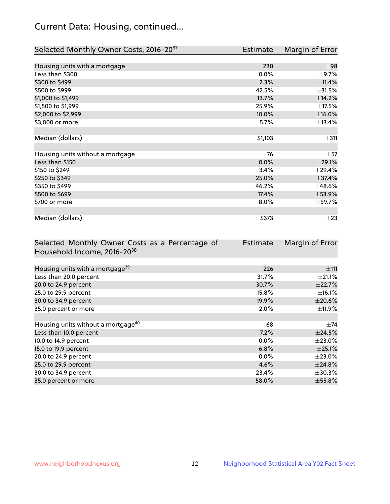# Current Data: Housing, continued...

| Selected Monthly Owner Costs, 2016-20 <sup>37</sup> | <b>Estimate</b> | Margin of Error |
|-----------------------------------------------------|-----------------|-----------------|
|                                                     |                 |                 |
| Housing units with a mortgage                       | 230             | $\pm$ 98        |
| Less than \$300                                     | 0.0%            | $\pm$ 9.7%      |
| \$300 to \$499                                      | 2.3%            | ±11.4%          |
| \$500 to \$999                                      | 42.5%           | $\pm$ 31.5%     |
| \$1,000 to \$1,499                                  | 13.7%           | ±14.2%          |
| \$1,500 to \$1,999                                  | 25.9%           | $\pm$ 17.5%     |
| \$2,000 to \$2,999                                  | 10.0%           | $\pm$ 16.0%     |
| \$3,000 or more                                     | 5.7%            | ±13.4%          |
|                                                     |                 |                 |
| Median (dollars)                                    | \$1,103         | $\pm$ 311       |
|                                                     |                 |                 |
| Housing units without a mortgage                    | 76              | $\pm$ 57        |
| Less than \$150                                     | 0.0%            | $\pm 29.1\%$    |
| \$150 to \$249                                      | 3.4%            | ±29.4%          |
| \$250 to \$349                                      | 25.0%           | ±37.4%          |
| \$350 to \$499                                      | 46.2%           | $\pm$ 48.6%     |
| \$500 to \$699                                      | 17.4%           | $\pm$ 53.9%     |
| \$700 or more                                       | 8.0%            | ±59.7%          |
|                                                     |                 |                 |
| Median (dollars)                                    | \$373           | $\pm 23$        |

| Selected Monthly Owner Costs as a Percentage of | <b>Estimate</b> | Margin of Error |
|-------------------------------------------------|-----------------|-----------------|
| Household Income, 2016-20 <sup>38</sup>         |                 |                 |
|                                                 |                 |                 |
| Housing units with a mortgage <sup>39</sup>     | 226             | ±111            |
| Less than 20.0 percent                          | 31.7%           | $\pm 21.1\%$    |
| 20.0 to 24.9 percent                            | 30.7%           | ±22.7%          |
| 25.0 to 29.9 percent                            | 15.8%           | $\pm$ 16.1%     |
| 30.0 to 34.9 percent                            | 19.9%           | $\pm 20.6\%$    |
| 35.0 percent or more                            | 2.0%            | $\pm$ 11.9%     |
|                                                 |                 |                 |
| Housing units without a mortgage <sup>40</sup>  | 68              | $\pm 74$        |
| Less than 10.0 percent                          | 7.2%            | $\pm$ 24.5%     |
| 10.0 to 14.9 percent                            | 0.0%            | $\pm 23.0\%$    |
| 15.0 to 19.9 percent                            | 6.8%            | $\pm$ 25.1%     |
| 20.0 to 24.9 percent                            | $0.0\%$         | $\pm 23.0\%$    |
| 25.0 to 29.9 percent                            | 4.6%            | ±24.8%          |
| 30.0 to 34.9 percent                            | 23.4%           | $\pm$ 30.3%     |
| 35.0 percent or more                            | 58.0%           | $\pm$ 55.8%     |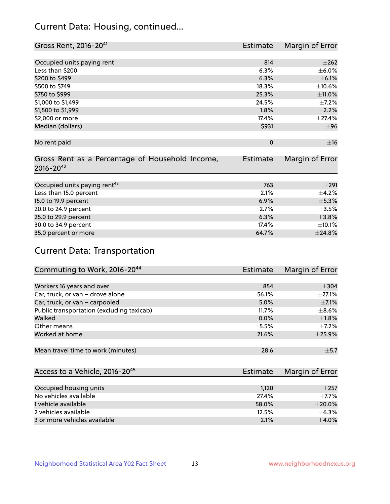# Current Data: Housing, continued...

| Gross Rent, 2016-20 <sup>41</sup>               | <b>Estimate</b> | Margin of Error |
|-------------------------------------------------|-----------------|-----------------|
|                                                 |                 |                 |
| Occupied units paying rent                      | 814             | $\pm 262$       |
| Less than \$200                                 | 6.3%            | $\pm$ 6.0%      |
| \$200 to \$499                                  | 6.3%            | $\pm$ 6.1%      |
| \$500 to \$749                                  | 18.3%           | ±10.6%          |
| \$750 to \$999                                  | 25.3%           | ±11.0%          |
| \$1,000 to \$1,499                              | 24.5%           | $\pm$ 7.2%      |
| \$1,500 to \$1,999                              | 1.8%            | $\pm 2.2\%$     |
| \$2,000 or more                                 | 17.4%           | ±27.4%          |
| Median (dollars)                                | \$931           | ±96             |
|                                                 |                 |                 |
| No rent paid                                    | $\mathbf 0$     | ±16             |
|                                                 |                 |                 |
| Gross Rent as a Percentage of Household Income, | <b>Estimate</b> | Margin of Error |
| $2016 - 20^{42}$                                |                 |                 |
|                                                 |                 |                 |
| Occupied units paying rent <sup>43</sup>        | 763             | $\pm 291$       |
| Less than 15.0 percent                          | 2.1%            | $\pm$ 4.2%      |
| 15.0 to 19.9 percent                            | 6.9%            | $\pm$ 5.3%      |
| 20.0 to 24.9 percent                            | 2.7%            | $\pm$ 3.5%      |
| 25.0 to 29.9 percent                            | 6.3%            | ±3.8%           |
| 30.0 to 34.9 percent                            | 17.4%           | $\pm$ 10.1%     |
| 35.0 percent or more                            | 64.7%           | ±24.8%          |

# Current Data: Transportation

| Commuting to Work, 2016-20 <sup>44</sup>  | <b>Estimate</b> | Margin of Error |
|-------------------------------------------|-----------------|-----------------|
|                                           |                 |                 |
| Workers 16 years and over                 | 854             | $\pm$ 304       |
| Car, truck, or van - drove alone          | 56.1%           | $\pm$ 27.1%     |
| Car, truck, or van - carpooled            | 5.0%            | $\pm$ 7.1%      |
| Public transportation (excluding taxicab) | 11.7%           | $\pm$ 8.6%      |
| Walked                                    | 0.0%            | $\pm1.8\%$      |
| Other means                               | 5.5%            | $\pm$ 7.2%      |
| Worked at home                            | 21.6%           | ±25.9%          |
|                                           |                 |                 |
| Mean travel time to work (minutes)        | 28.6            | $\pm$ 5.7       |

| Access to a Vehicle, 2016-20 <sup>45</sup> | Estimate | Margin of Error |
|--------------------------------------------|----------|-----------------|
|                                            |          |                 |
| Occupied housing units                     | 1,120    | $\pm 257$       |
| No vehicles available                      | 27.4%    | $+7.7%$         |
| 1 vehicle available                        | 58.0%    | $\pm 20.0\%$    |
| 2 vehicles available                       | 12.5%    | $+6.3%$         |
| 3 or more vehicles available               | 2.1%     | $+4.0%$         |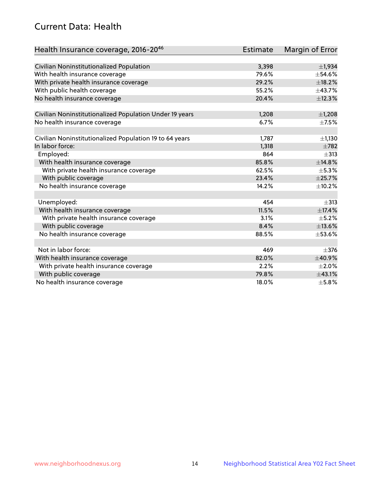# Current Data: Health

| Health Insurance coverage, 2016-2046                    | <b>Estimate</b> | Margin of Error |
|---------------------------------------------------------|-----------------|-----------------|
|                                                         |                 |                 |
| Civilian Noninstitutionalized Population                | 3,398           | ±1,934          |
| With health insurance coverage                          | 79.6%           | $\pm$ 54.6%     |
| With private health insurance coverage                  | 29.2%           | $\pm$ 18.2%     |
| With public health coverage                             | 55.2%           | ±43.7%          |
| No health insurance coverage                            | 20.4%           | ±12.3%          |
| Civilian Noninstitutionalized Population Under 19 years | 1,208           | $\pm$ 1,208     |
| No health insurance coverage                            | 6.7%            | $\pm$ 7.5%      |
|                                                         |                 |                 |
| Civilian Noninstitutionalized Population 19 to 64 years | 1,787           | $\pm$ 1,130     |
| In labor force:                                         | 1,318           | $\pm 782$       |
| Employed:                                               | 864             | $\pm$ 313       |
| With health insurance coverage                          | 85.8%           | ±14.8%          |
| With private health insurance coverage                  | 62.5%           | $\pm$ 5.3%      |
| With public coverage                                    | 23.4%           | ±25.7%          |
| No health insurance coverage                            | 14.2%           | $\pm$ 10.2%     |
|                                                         |                 |                 |
| Unemployed:                                             | 454             | $\pm$ 313       |
| With health insurance coverage                          | 11.5%           | ±17.4%          |
| With private health insurance coverage                  | 3.1%            | $\pm$ 5.2%      |
| With public coverage                                    | 8.4%            | ±13.6%          |
| No health insurance coverage                            | 88.5%           | $\pm$ 53.6%     |
|                                                         |                 |                 |
| Not in labor force:                                     | 469             | $+376$          |
| With health insurance coverage                          | 82.0%           | ±40.9%          |
| With private health insurance coverage                  | 2.2%            | $\pm 2.0\%$     |
| With public coverage                                    | 79.8%           | ±43.1%          |
| No health insurance coverage                            | 18.0%           | $\pm$ 5.8%      |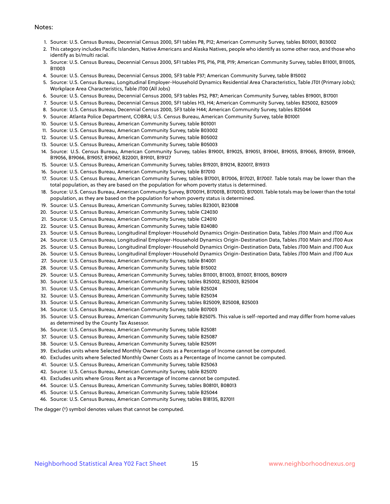#### Notes:

- 1. Source: U.S. Census Bureau, Decennial Census 2000, SF1 tables P8, P12; American Community Survey, tables B01001, B03002
- 2. This category includes Pacific Islanders, Native Americans and Alaska Natives, people who identify as some other race, and those who identify as bi/multi racial.
- 3. Source: U.S. Census Bureau, Decennial Census 2000, SF1 tables P15, P16, P18, P19; American Community Survey, tables B11001, B11005, B11003
- 4. Source: U.S. Census Bureau, Decennial Census 2000, SF3 table P37; American Community Survey, table B15002
- 5. Source: U.S. Census Bureau, Longitudinal Employer-Household Dynamics Residential Area Characteristics, Table JT01 (Primary Jobs); Workplace Area Characteristics, Table JT00 (All Jobs)
- 6. Source: U.S. Census Bureau, Decennial Census 2000, SF3 tables P52, P87; American Community Survey, tables B19001, B17001
- 7. Source: U.S. Census Bureau, Decennial Census 2000, SF1 tables H3, H4; American Community Survey, tables B25002, B25009
- 8. Source: U.S. Census Bureau, Decennial Census 2000, SF3 table H44; American Community Survey, tables B25044
- 9. Source: Atlanta Police Department, COBRA; U.S. Census Bureau, American Community Survey, table B01001
- 10. Source: U.S. Census Bureau, American Community Survey, table B01001
- 11. Source: U.S. Census Bureau, American Community Survey, table B03002
- 12. Source: U.S. Census Bureau, American Community Survey, table B05002
- 13. Source: U.S. Census Bureau, American Community Survey, table B05003
- 14. Source: U.S. Census Bureau, American Community Survey, tables B19001, B19025, B19051, B19061, B19055, B19065, B19059, B19069, B19056, B19066, B19057, B19067, B22001, B19101, B19127
- 15. Source: U.S. Census Bureau, American Community Survey, tables B19201, B19214, B20017, B19313
- 16. Source: U.S. Census Bureau, American Community Survey, table B17010
- 17. Source: U.S. Census Bureau, American Community Survey, tables B17001, B17006, B17021, B17007. Table totals may be lower than the total population, as they are based on the population for whom poverty status is determined.
- 18. Source: U.S. Census Bureau, American Community Survey, B17001H, B17001B, B17001D, B17001I. Table totals may be lower than the total population, as they are based on the population for whom poverty status is determined.
- 19. Source: U.S. Census Bureau, American Community Survey, tables B23001, B23008
- 20. Source: U.S. Census Bureau, American Community Survey, table C24030
- 21. Source: U.S. Census Bureau, American Community Survey, table C24010
- 22. Source: U.S. Census Bureau, American Community Survey, table B24080
- 23. Source: U.S. Census Bureau, Longitudinal Employer-Household Dynamics Origin-Destination Data, Tables JT00 Main and JT00 Aux
- 24. Source: U.S. Census Bureau, Longitudinal Employer-Household Dynamics Origin-Destination Data, Tables JT00 Main and JT00 Aux
- 25. Source: U.S. Census Bureau, Longitudinal Employer-Household Dynamics Origin-Destination Data, Tables JT00 Main and JT00 Aux
- 26. Source: U.S. Census Bureau, Longitudinal Employer-Household Dynamics Origin-Destination Data, Tables JT00 Main and JT00 Aux
- 27. Source: U.S. Census Bureau, American Community Survey, table B14001
- 28. Source: U.S. Census Bureau, American Community Survey, table B15002
- 29. Source: U.S. Census Bureau, American Community Survey, tables B11001, B11003, B11007, B11005, B09019
- 30. Source: U.S. Census Bureau, American Community Survey, tables B25002, B25003, B25004
- 31. Source: U.S. Census Bureau, American Community Survey, table B25024
- 32. Source: U.S. Census Bureau, American Community Survey, table B25034
- 33. Source: U.S. Census Bureau, American Community Survey, tables B25009, B25008, B25003
- 34. Source: U.S. Census Bureau, American Community Survey, table B07003
- 35. Source: U.S. Census Bureau, American Community Survey, table B25075. This value is self-reported and may differ from home values as determined by the County Tax Assessor.
- 36. Source: U.S. Census Bureau, American Community Survey, table B25081
- 37. Source: U.S. Census Bureau, American Community Survey, table B25087
- 38. Source: U.S. Census Bureau, American Community Survey, table B25091
- 39. Excludes units where Selected Monthly Owner Costs as a Percentage of Income cannot be computed.
- 40. Excludes units where Selected Monthly Owner Costs as a Percentage of Income cannot be computed.
- 41. Source: U.S. Census Bureau, American Community Survey, table B25063
- 42. Source: U.S. Census Bureau, American Community Survey, table B25070
- 43. Excludes units where Gross Rent as a Percentage of Income cannot be computed.
- 44. Source: U.S. Census Bureau, American Community Survey, tables B08101, B08013
- 45. Source: U.S. Census Bureau, American Community Survey, table B25044
- 46. Source: U.S. Census Bureau, American Community Survey, tables B18135, B27011

The dagger (†) symbol denotes values that cannot be computed.